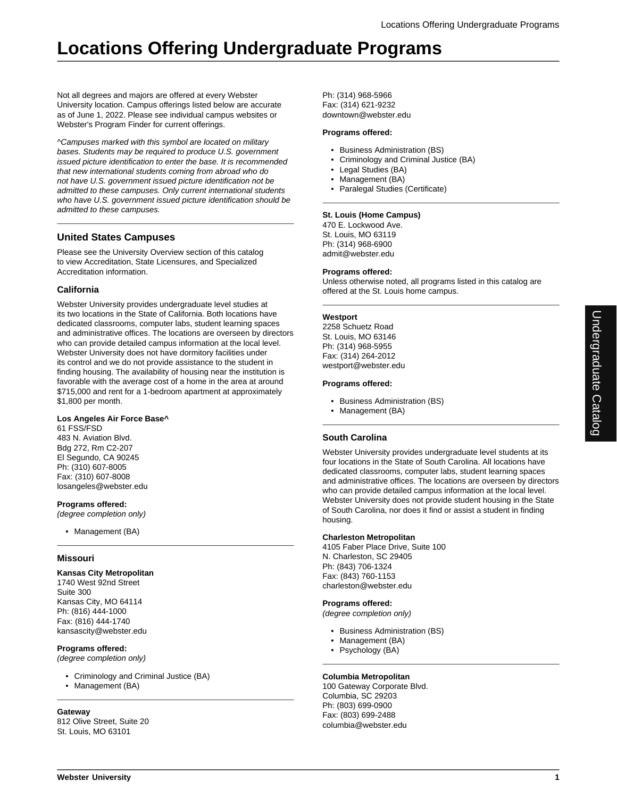Not all degrees and majors are offered at every Webster University location. Campus offerings listed below are accurate as of June 1, 2022. Please see individual campus websites or Webster's Program Finder for current offerings.

^Campuses marked with this symbol are located on military bases. Students may be required to produce U.S. government issued picture identification to enter the base. It is recommended that new international students coming from abroad who do not have U.S. government issued picture identification not be admitted to these campuses. Only current international students who have U.S. government issued picture identification should be admitted to these campuses.

## **United States Campuses**

Please see the University Overview section of this catalog to view Accreditation, State Licensures, and Specialized Accreditation information.

## **California**

Webster University provides undergraduate level studies at its two locations in the State of California. Both locations have dedicated classrooms, computer labs, student learning spaces and administrative offices. The locations are overseen by directors who can provide detailed campus information at the local level. Webster University does not have dormitory facilities under its control and we do not provide assistance to the student in finding housing. The availability of housing near the institution is favorable with the average cost of a home in the area at around \$715,000 and rent for a 1-bedroom apartment at approximately \$1,800 per month.

## **Los Angeles Air Force Base^**

61 FSS/FSD 483 N. Aviation Blvd. Bdg 272, Rm C2-207 El Segundo, CA 90245 Ph: (310) 607-8005 Fax: (310) 607-8008 losangeles@webster.edu

**Programs offered:**

(degree completion only)

• Management (BA)

## **Missouri**

## **Kansas City Metropolitan**

1740 West 92nd Street Suite 300 Kansas City, MO 64114 Ph: (816) 444-1000 Fax: (816) 444-1740 kansascity@webster.edu

## **Programs offered:**

(degree completion only)

- Criminology and Criminal Justice (BA)
- Management (BA)

#### **Gateway**

812 Olive Street, Suite 20 St. Louis, MO 63101

Ph: (314) 968-5966 Fax: (314) 621-9232 downtown@webster.edu

#### **Programs offered:**

- Business Administration (BS)
- Criminology and Criminal Justice (BA)
- Legal Studies (BA)
- Management (BA)
- Paralegal Studies (Certificate)

## **St. Louis (Home Campus)**

470 E. Lockwood Ave. St. Louis, MO 63119 Ph: (314) 968-6900 admit@webster.edu

#### **Programs offered:**

Unless otherwise noted, all programs listed in this catalog are offered at the St. Louis home campus.

## **Westport**

2258 Schuetz Road St. Louis, MO 63146 Ph: (314) 968-5955 Fax: (314) 264-2012 westport@webster.edu

#### **Programs offered:**

- Business Administration (BS)
- Management (BA)

## **South Carolina**

Webster University provides undergraduate level students at its four locations in the State of South Carolina. All locations have dedicated classrooms, computer labs, student learning spaces and administrative offices. The locations are overseen by directors who can provide detailed campus information at the local level. Webster University does not provide student housing in the State of South Carolina, nor does it find or assist a student in finding housing.

## **Charleston Metropolitan**

4105 Faber Place Drive, Suite 100 N. Charleston, SC 29405 Ph: (843) 706-1324 Fax: (843) 760-1153 charleston@webster.edu

## **Programs offered:**

(degree completion only)

- Business Administration (BS)
- Management (BA)
- Psychology (BA)

## **Columbia Metropolitan**

100 Gateway Corporate Blvd. Columbia, SC 29203 Ph: (803) 699-0900 Fax: (803) 699-2488 columbia@webster.edu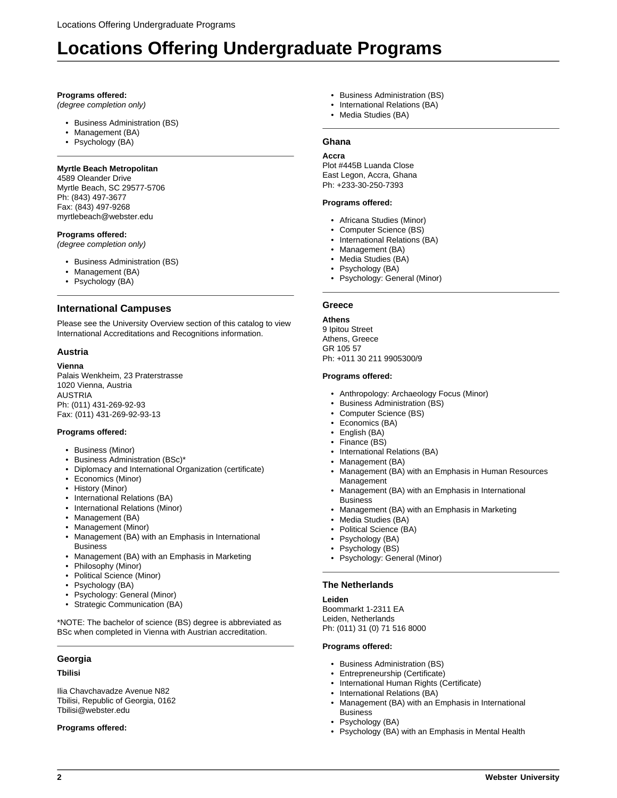## **Programs offered:**

(degree completion only)

- Business Administration (BS)
- Management (BA)
- Psychology (BA)

## **Myrtle Beach Metropolitan**

4589 Oleander Drive Myrtle Beach, SC 29577-5706 Ph: (843) 497-3677 Fax: (843) 497-9268 myrtlebeach@webster.edu

## **Programs offered:**

(degree completion only)

- Business Administration (BS)
- Management (BA)
- Psychology (BA)

## **International Campuses**

Please see the University Overview section of this catalog to view International Accreditations and Recognitions information.

## **Austria**

## **Vienna**

Palais Wenkheim, 23 Praterstrasse 1020 Vienna, Austria AUSTRIA Ph: (011) 431-269-92-93 Fax: (011) 431-269-92-93-13

## **Programs offered:**

- Business (Minor)
- Business Administration (BSc)\*
- Diplomacy and International Organization (certificate)
- Economics (Minor)
- History (Minor)
- International Relations (BA)
- International Relations (Minor)
- Management (BA)
- Management (Minor)
- Management (BA) with an Emphasis in International **Business**
- Management (BA) with an Emphasis in Marketing
- Philosophy (Minor)
- Political Science (Minor)
- Psychology (BA)
- Psychology: General (Minor)
- Strategic Communication (BA)

\*NOTE: The bachelor of science (BS) degree is abbreviated as BSc when completed in Vienna with Austrian accreditation.

## **Georgia**

#### **Tbilisi**

Ilia Chavchavadze Avenue N82 Tbilisi, Republic of Georgia, 0162 Tbilisi@webster.edu

#### **Programs offered:**

- Business Administration (BS)
- International Relations (BA)
- Media Studies (BA)

## **Ghana**

## **Accra**

Plot #445B Luanda Close East Legon, Accra, Ghana Ph: +233-30-250-7393

#### **Programs offered:**

- Africana Studies (Minor)
- Computer Science (BS)
- International Relations (BA)
- Management (BA)
- Media Studies (BA)
- Psychology (BA)
- Psychology: General (Minor)

## **Greece**

## **Athens**

9 Ipitou Street Athens, Greece GR 105 57 Ph: +011 30 211 9905300/9

#### **Programs offered:**

- Anthropology: Archaeology Focus (Minor)
- Business Administration (BS)
- Computer Science (BS)
- Economics (BA)
- English (BA)
- Finance (BS)
- International Relations (BA)
- Management (BA) • Management (BA) with an Emphasis in Human Resources Management
- Management (BA) with an Emphasis in International Business
- Management (BA) with an Emphasis in Marketing
- Media Studies (BA)
- Political Science (BA)
- Psychology (BA)
- Psychology (BS)
- Psychology: General (Minor)

## **The Netherlands**

#### **Leiden**

Boommarkt 1-2311 EA Leiden, Netherlands Ph: (011) 31 (0) 71 516 8000

#### **Programs offered:**

- Business Administration (BS)
- Entrepreneurship (Certificate)
- International Human Rights (Certificate)
- International Relations (BA)
- Management (BA) with an Emphasis in International Business
- Psychology (BA)
- Psychology (BA) with an Emphasis in Mental Health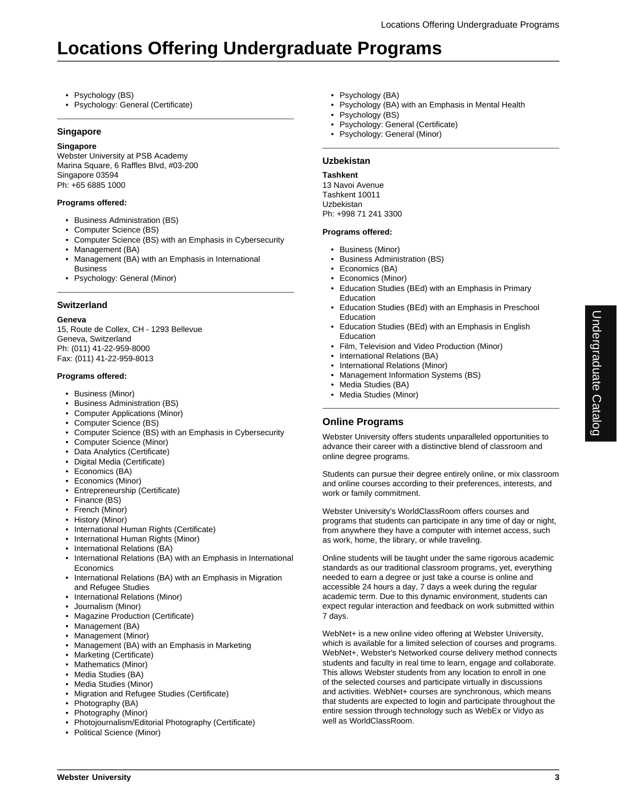- Psychology (BS)
- Psychology: General (Certificate)

## **Singapore**

## **Singapore**

Webster University at PSB Academy Marina Square, 6 Raffles Blvd, #03-200 Singapore 03594 Ph: +65 6885 1000

## **Programs offered:**

- Business Administration (BS)
- Computer Science (BS)
- Computer Science (BS) with an Emphasis in Cybersecurity • Management (BA)
- Management (BA) with an Emphasis in International Business
- Psychology: General (Minor)

## **Switzerland**

## **Geneva**

15, Route de Collex, CH - 1293 Bellevue Geneva, Switzerland Ph: (011) 41-22-959-8000 Fax: (011) 41-22-959-8013

## **Programs offered:**

- Business (Minor)
- Business Administration (BS)
- Computer Applications (Minor)
- Computer Science (BS)
- Computer Science (BS) with an Emphasis in Cybersecurity
- Computer Science (Minor)
- Data Analytics (Certificate)
- Digital Media (Certificate)
- Economics (BA)
- Economics (Minor)
- Entrepreneurship (Certificate)
- Finance (BS)
- French (Minor)
- History (Minor)
- International Human Rights (Certificate)
- International Human Rights (Minor)
- International Relations (BA)
- International Relations (BA) with an Emphasis in International **Economics**
- International Relations (BA) with an Emphasis in Migration and Refugee Studies
- International Relations (Minor)
- Journalism (Minor)
- Magazine Production (Certificate)
- Management (BA)
- Management (Minor)
- Management (BA) with an Emphasis in Marketing
- Marketing (Certificate)
- Mathematics (Minor)
- Media Studies (BA)
- Media Studies (Minor)
- Migration and Refugee Studies (Certificate)
- Photography (BA)
- Photography (Minor)
- Photojournalism/Editorial Photography (Certificate)
- Political Science (Minor)
- Psychology (BA)
- Psychology (BA) with an Emphasis in Mental Health
- Psychology (BS)
- Psychology: General (Certificate)
- Psychology: General (Minor)

## **Uzbekistan**

## **Tashkent**

13 Navoi Avenue Tashkent 10011 Uzbekistan Ph: +998 71 241 3300

## **Programs offered:**

- Business (Minor)
- Business Administration (BS)
- Economics (BA)
- Economics (Minor)
- Education Studies (BEd) with an Emphasis in Primary Education
- Education Studies (BEd) with an Emphasis in Preschool Education
- Education Studies (BEd) with an Emphasis in English Education
- Film, Television and Video Production (Minor)
- International Relations (BA)
- International Relations (Minor)
	- Management Information Systems (BS)
	- Media Studies (BA)
	- Media Studies (Minor)

## **Online Programs**

Webster University offers students unparalleled opportunities to advance their career with a distinctive blend of classroom and online degree programs.

Students can pursue their degree entirely online, or mix classroom and online courses according to their preferences, interests, and work or family commitment.

Webster University's WorldClassRoom offers courses and programs that students can participate in any time of day or night, from anywhere they have a computer with internet access, such as work, home, the library, or while traveling.

Online students will be taught under the same rigorous academic standards as our traditional classroom programs, yet, everything needed to earn a degree or just take a course is online and accessible 24 hours a day, 7 days a week during the regular academic term. Due to this dynamic environment, students can expect regular interaction and feedback on work submitted within 7 days.

WebNet+ is a new online video offering at Webster University, which is available for a limited selection of courses and programs. WebNet+, Webster's Networked course delivery method connects students and faculty in real time to learn, engage and collaborate. This allows Webster students from any location to enroll in one of the selected courses and participate virtually in discussions and activities. WebNet+ courses are synchronous, which means that students are expected to login and participate throughout the entire session through technology such as WebEx or Vidyo as well as WorldClassRoom.